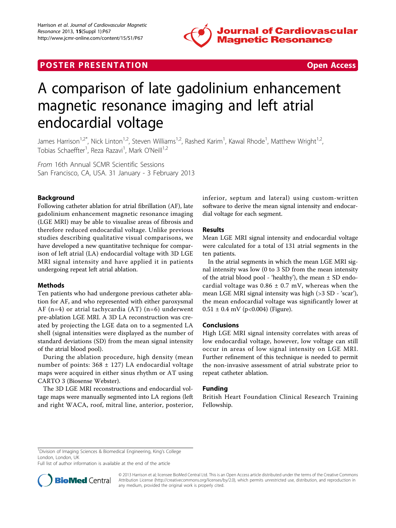

## **POSTER PRESENTATION CONSUMING THE SECOND CONSUMING THE SECOND CONSUMING THE SECOND CONSUMING THE SECOND CONSUMING THE SECOND CONSUMING THE SECOND CONSUMING THE SECOND CONSUMING THE SECOND CONSUMING THE SECOND CONSUMING**



# A comparison of late gadolinium enhancement magnetic resonance imaging and left atrial endocardial voltage

James Harrison<sup>1,2\*</sup>, Nick Linton<sup>1,2</sup>, Steven Williams<sup>1,2</sup>, Rashed Karim<sup>1</sup>, Kawal Rhode<sup>1</sup>, Matthew Wright<sup>1,2</sup>, Tobias Schaeffter<sup>1</sup>, Reza Razavi<sup>1</sup>, Mark O'Neill<sup>1,2</sup>

From 16th Annual SCMR Scientific Sessions San Francisco, CA, USA. 31 January - 3 February 2013

## Background

Following catheter ablation for atrial fibrillation (AF), late gadolinium enhancement magnetic resonance imaging (LGE MRI) may be able to visualise areas of fibrosis and therefore reduced endocardial voltage. Unlike previous studies describing qualitative visual comparisons, we have developed a new quantitative technique for comparison of left atrial (LA) endocardial voltage with 3D LGE MRI signal intensity and have applied it in patients undergoing repeat left atrial ablation.

## Methods

Ten patients who had undergone previous catheter ablation for AF, and who represented with either paroxysmal AF (n=4) or atrial tachycardia (AT) (n=6) underwent pre-ablation LGE MRI. A 3D LA reconstruction was created by projecting the LGE data on to a segmented LA shell (signal intensities were displayed as the number of standard deviations (SD) from the mean signal intensity of the atrial blood pool).

During the ablation procedure, high density (mean number of points:  $368 \pm 127$ ) LA endocardial voltage maps were acquired in either sinus rhythm or AT using CARTO 3 (Biosense Webster).

The 3D LGE MRI reconstructions and endocardial voltage maps were manually segmented into LA regions (left and right WACA, roof, mitral line, anterior, posterior, inferior, septum and lateral) using custom-written software to derive the mean signal intensity and endocardial voltage for each segment.

#### Results

Mean LGE MRI signal intensity and endocardial voltage were calculated for a total of 131 atrial segments in the ten patients.

In the atrial segments in which the mean LGE MRI signal intensity was low (0 to 3 SD from the mean intensity of the atrial blood pool - 'healthy'), the mean  $\pm$  SD endocardial voltage was  $0.86 \pm 0.7$  mV, whereas when the mean LGE MRI signal intensity was high (>3 SD - 'scar'), the mean endocardial voltage was significantly lower at  $0.51 \pm 0.4$  mV (p<0.004) (Figure).

## Conclusions

High LGE MRI signal intensity correlates with areas of low endocardial voltage, however, low voltage can still occur in areas of low signal intensity on LGE MRI. Further refinement of this technique is needed to permit the non-invasive assessment of atrial substrate prior to repeat catheter ablation.

## Funding

British Heart Foundation Clinical Research Training Fellowship.

Full list of author information is available at the end of the article



<sup>© 2013</sup> Harrison et al; licensee BioMed Central Ltd. This is an Open Access article distributed under the terms of the Creative Commons Attribution License [\(http://creativecommons.org/licenses/by/2.0](http://creativecommons.org/licenses/by/2.0)), which permits unrestricted use, distribution, and reproduction in any medium, provided the original work is properly cited.

<sup>&</sup>lt;sup>1</sup>Division of Imaging Sciences & Biomedical Engineering, King's College London, London, UK